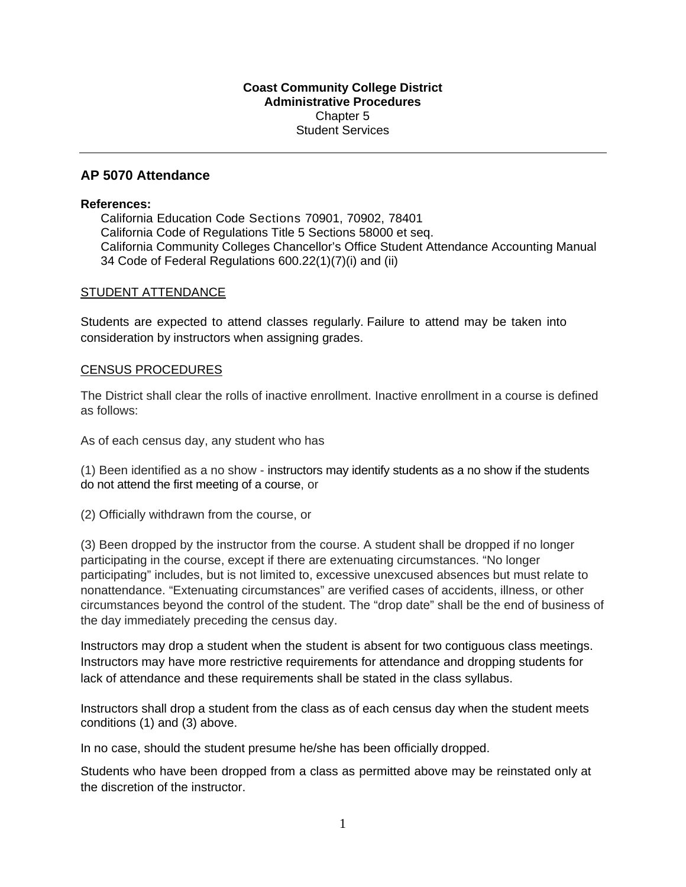### **Coast Community College District Administrative Procedures**  Chapter 5 Student Services

# **AP 5070 Attendance**

### **References:**

California Education Code Sections 70901, 70902, 78401 California Code of Regulations Title 5 Sections 58000 et seq. California Community Colleges Chancellor's Office Student Attendance Accounting Manual 34 Code of Federal Regulations 600.22(1)(7)(i) and (ii)

## STUDENT ATTENDANCE

 Students are expected to attend classes regularly. Failure to attend may be taken into consideration by instructors when assigning grades.

## CENSUS PROCEDURES

The District shall clear the rolls of inactive enrollment. Inactive enrollment in a course is defined as follows:

As of each census day, any student who has

 do not attend the first meeting of a course, or (1) Been identified as a no show - instructors may identify students as a no show if the students

(2) Officially withdrawn from the course, or

(3) Been dropped by the instructor from the course. A student shall be dropped if no longer participating in the course, except if there are extenuating circumstances. "No longer participating" includes, but is not limited to, excessive unexcused absences but must relate to nonattendance. "Extenuating circumstances" are verified cases of accidents, illness, or other circumstances beyond the control of the student. The "drop date" shall be the end of business of the day immediately preceding the census day.

 Instructors may drop a student when the student is absent for two contiguous class meetings. Instructors may have more restrictive requirements for attendance and dropping students for lack of attendance and these requirements shall be stated in the class syllabus.

Instructors shall drop a student from the class as of each census day when the student meets conditions (1) and (3) above.

In no case, should the student presume he/she has been officially dropped.

Students who have been dropped from a class as permitted above may be reinstated only at the discretion of the instructor.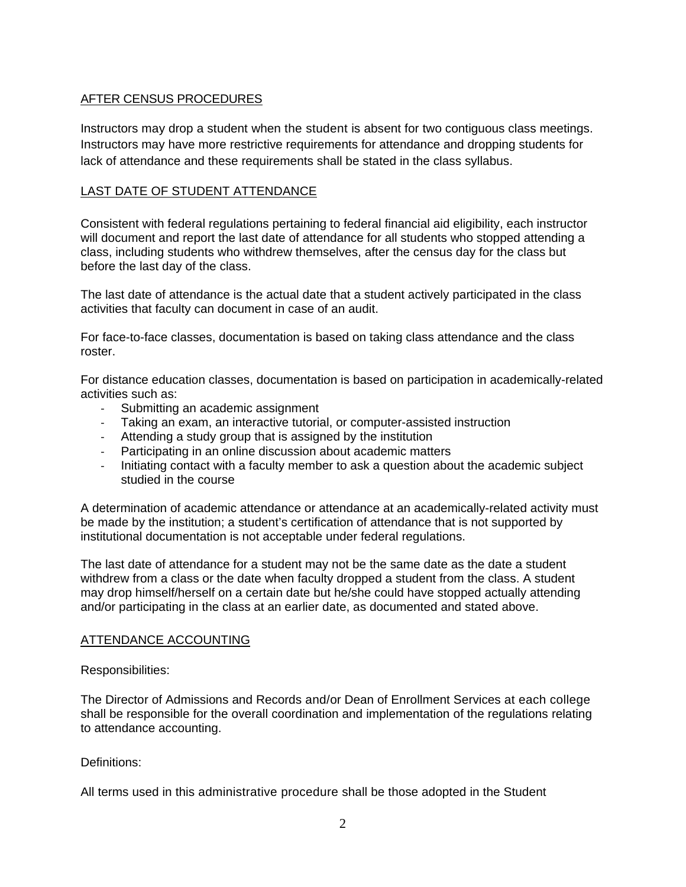# AFTER CENSUS PROCEDURES

 Instructors may drop a student when the student is absent for two contiguous class meetings. Instructors may have more restrictive requirements for attendance and dropping students for lack of attendance and these requirements shall be stated in the class syllabus.

## LAST DATE OF STUDENT ATTENDANCE

Consistent with federal regulations pertaining to federal financial aid eligibility, each instructor will document and report the last date of attendance for all students who stopped attending a class, including students who withdrew themselves, after the census day for the class but before the last day of the class.

The last date of attendance is the actual date that a student actively participated in the class activities that faculty can document in case of an audit.

For face-to-face classes, documentation is based on taking class attendance and the class roster.

For distance education classes, documentation is based on participation in academically-related activities such as:

- ‐ Submitting an academic assignment
- ‐ Taking an exam, an interactive tutorial, or computer-assisted instruction
- ‐ Attending a study group that is assigned by the institution
- ‐ Participating in an online discussion about academic matters
- ‐ Initiating contact with a faculty member to ask a question about the academic subject studied in the course

A determination of academic attendance or attendance at an academically-related activity must be made by the institution; a student's certification of attendance that is not supported by institutional documentation is not acceptable under federal regulations.

The last date of attendance for a student may not be the same date as the date a student withdrew from a class or the date when faculty dropped a student from the class. A student may drop himself/herself on a certain date but he/she could have stopped actually attending and/or participating in the class at an earlier date, as documented and stated above.

### ATTENDANCE ACCOUNTING

Responsibilities:

 The Director of Admissions and Records and/or Dean of Enrollment Services at each college shall be responsible for the overall coordination and implementation of the regulations relating to attendance accounting.

Definitions:

All terms used in this administrative procedure shall be those adopted in the Student